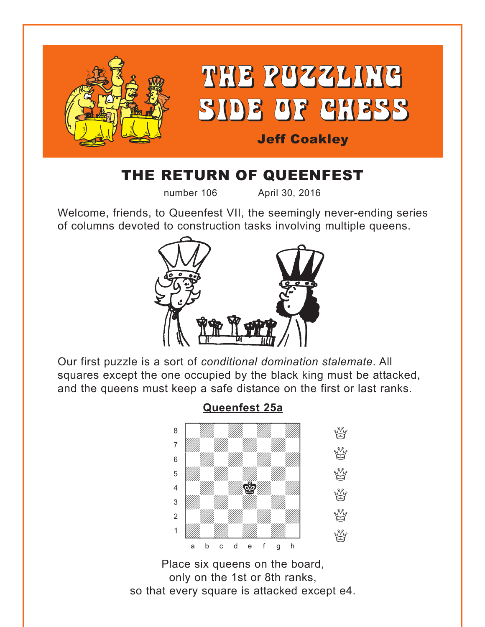<span id="page-0-0"></span>

## THE RETURN OF QUEENFEST

number 106 April 30, 2016

Welcome, friends, to Queenfest VII, the seemingly never-ending series of columns devoted to construction tasks involving multiple queens.



Our first puzzle is a sort of *conditional domination stalemate*. All squares except the one occupied by the black king must be attacked, and the queens must keep a safe distance on the first or last ranks.



Place six queens on the board, only on the 1st or 8th ranks, so that every square is attacked except e4.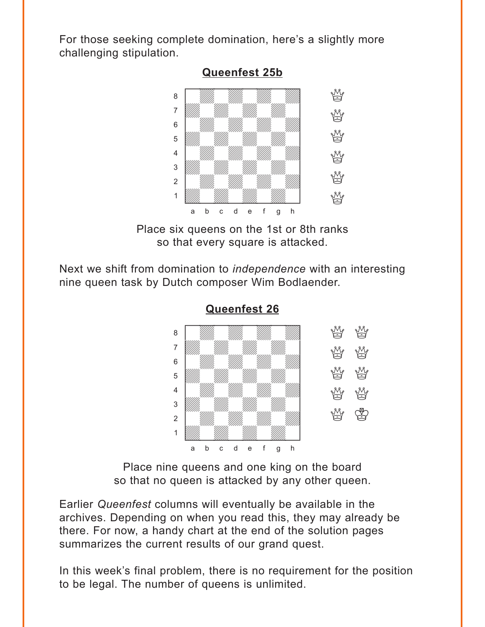<span id="page-1-0"></span>For those seeking complete domination, here's a slightly more challenging stipulation.



Place six queens on the 1st or 8th ranks so that every square is attacked.

Next we shift from domination to *independence* with an interesting nine queen task by Dutch composer Wim Bodlaender.



**[Queenfest 26](#page-4-0)**

Place nine queens and one king on the board so that no queen is attacked by any other queen.

Earlier *Queenfest* columns will eventually be available in the archives. Depending on when you read this, they may already be there. For now, a handy chart at the end of the solution pages summarizes the current results of our grand quest.

In this week's final problem, there is no requirement for the position to be legal. The number of queens is unlimited.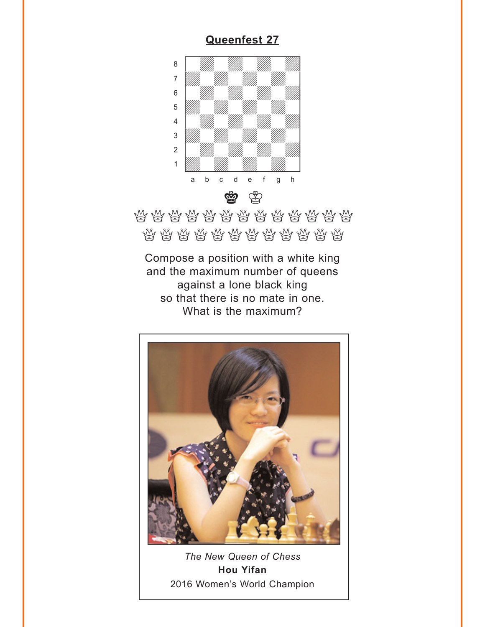<span id="page-2-0"></span>

## \*\*\*\*\*\*\*\*\*\*\*\*\*\*\* \*\*\*\*\*\*\*\*\*\*\*\*\*\*

Compose a position with a white king and the maximum number of queens against a lone black king so that there is no mate in one. What is the maximum?



The New Queen of Chess **Hou Yifan** 2016 Women's World Champion

## **Queenfest 27**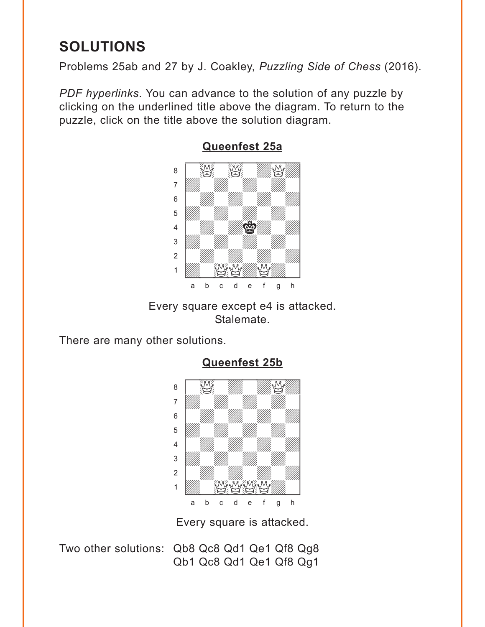## <span id="page-3-0"></span>**SOLUTIONS**

Problems 25ab and 27 by J. Coakley, *Puzzling Side of Chess* (2016).

*PDF hyperlinks*. You can advance to the solution of any puzzle by clicking on the underlined title above the diagram. To return to the puzzle, click on the title above the solution diagram.



**[Queenfest 25a](#page-0-0)**

Every square except e4 is attacked. Stalemate.

There are many other solutions.



**[Queenfest 25b](#page-1-0)**

Every square is attacked.

Two other solutions: Qb8 Qc8 Qd1 Qe1 Qf8 Qg8 Qb1 Qc8 Qd1 Qe1 Qf8 Qg1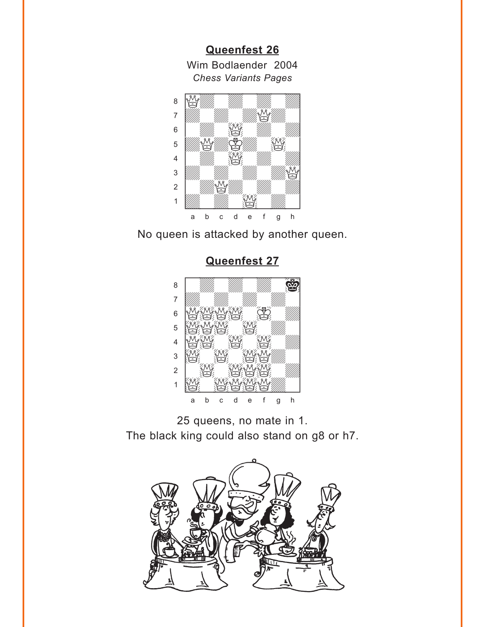<span id="page-4-0"></span>Queenfest 26 Wim Bodlaender 2004 **Chess Variants Pages** 



No queen is attacked by another queen.

Queenfest 27



25 queens, no mate in 1. The black king could also stand on g8 or h7.